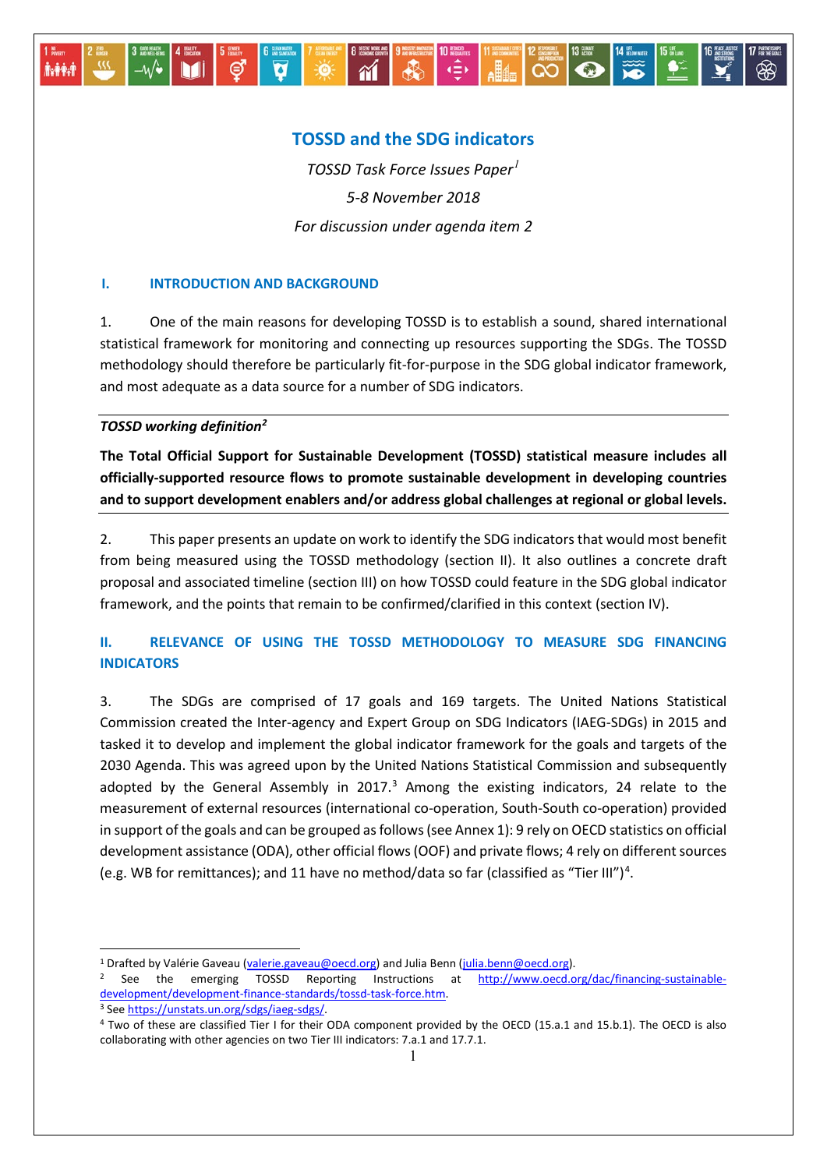# **TOSSD and the SDG indicators**

 $\frac{1}{2}$   $\frac{1}{2}$   $\frac{1}{2}$   $\frac{1}{2}$   $\frac{1}{2}$   $\frac{1}{2}$   $\frac{1}{2}$   $\frac{1}{2}$   $\frac{1}{2}$   $\frac{1}{2}$   $\frac{1}{2}$   $\frac{1}{2}$   $\frac{1}{2}$   $\frac{1}{2}$   $\frac{1}{2}$   $\frac{1}{2}$   $\frac{1}{2}$   $\frac{1}{2}$   $\frac{1}{2}$   $\frac{1}{2}$   $\frac{1}{2}$   $\frac{1}{2}$ 

*TOSSD Task Force Issues Paper[1](#page-0-0) 5-8 November 2018 For discussion under agenda item 2*

## **I. INTRODUCTION AND BACKGROUND**

**NO SANTADOR** 

1. One of the main reasons for developing TOSSD is to establish a sound, shared international statistical framework for monitoring and connecting up resources supporting the SDGs. The TOSSD methodology should therefore be particularly fit-for-purpose in the SDG global indicator framework, and most adequate as a data source for a number of SDG indicators.

## *TOSSD working definition[2](#page-0-1)*

**M** 

 $-\mathcal{W}$ 

**A-PA-**

 $\Theta$ 

-

**The Total Official Support for Sustainable Development (TOSSD) statistical measure includes all officially-supported resource flows to promote sustainable development in developing countries and to support development enablers and/or address global challenges at regional or global levels.** 

2. This paper presents an update on work to identify the SDG indicators that would most benefit from being measured using the TOSSD methodology (section II). It also outlines a concrete draft proposal and associated timeline (section III) on how TOSSD could feature in the SDG global indicator framework, and the points that remain to be confirmed/clarified in this context (section IV).

# **II. RELEVANCE OF USING THE TOSSD METHODOLOGY TO MEASURE SDG FINANCING INDICATORS**

3. The SDGs are comprised of 17 goals and 169 targets. The United Nations Statistical Commission created the Inter-agency and Expert Group on SDG Indicators (IAEG-SDGs) in 2015 and tasked it to develop and implement the global indicator framework for the goals and targets of the 2030 Agenda. This was agreed upon by the United Nations Statistical Commission and subsequently adopted by the General Assembly in 2017. $3$  Among the existing indicators, 24 relate to the measurement of external resources (international co-operation, South-South co-operation) provided in support of the goals and can be grouped as follows (see Annex 1): 9 rely on OECD statistics on official development assistance (ODA), other official flows (OOF) and private flows; 4 rely on different sources (e.g. WB for remittances); and 11 have no method/data so far (classified as "Tier III") [4](#page-0-3) .

<span id="page-0-0"></span><sup>&</sup>lt;sup>1</sup> Drafted by Valérie Gaveau [\(valerie.gaveau@oecd.org\)](mailto:valerie.gaveau@oecd.org) and Julia Benn [\(julia.benn@oecd.org\)](mailto:julia.benn@oecd.org).

<span id="page-0-1"></span><sup>&</sup>lt;sup>2</sup> See the emerging TOSSD Reporting Instructions at [http://www.oecd.org/dac/financing-sustainable](http://www.oecd.org/dac/financing-sustainable-development/development-finance-standards/tossd-task-force.htm)[development/development-finance-standards/tossd-task-force.htm.](http://www.oecd.org/dac/financing-sustainable-development/development-finance-standards/tossd-task-force.htm) <sup>3</sup> Se[e https://unstats.un.org/sdgs/iaeg-sdgs/.](https://unstats.un.org/sdgs/iaeg-sdgs/)

<span id="page-0-3"></span><span id="page-0-2"></span><sup>4</sup> Two of these are classified Tier I for their ODA component provided by the OECD (15.a.1 and 15.b.1). The OECD is also collaborating with other agencies on two Tier III indicators: 7.a.1 and 17.7.1.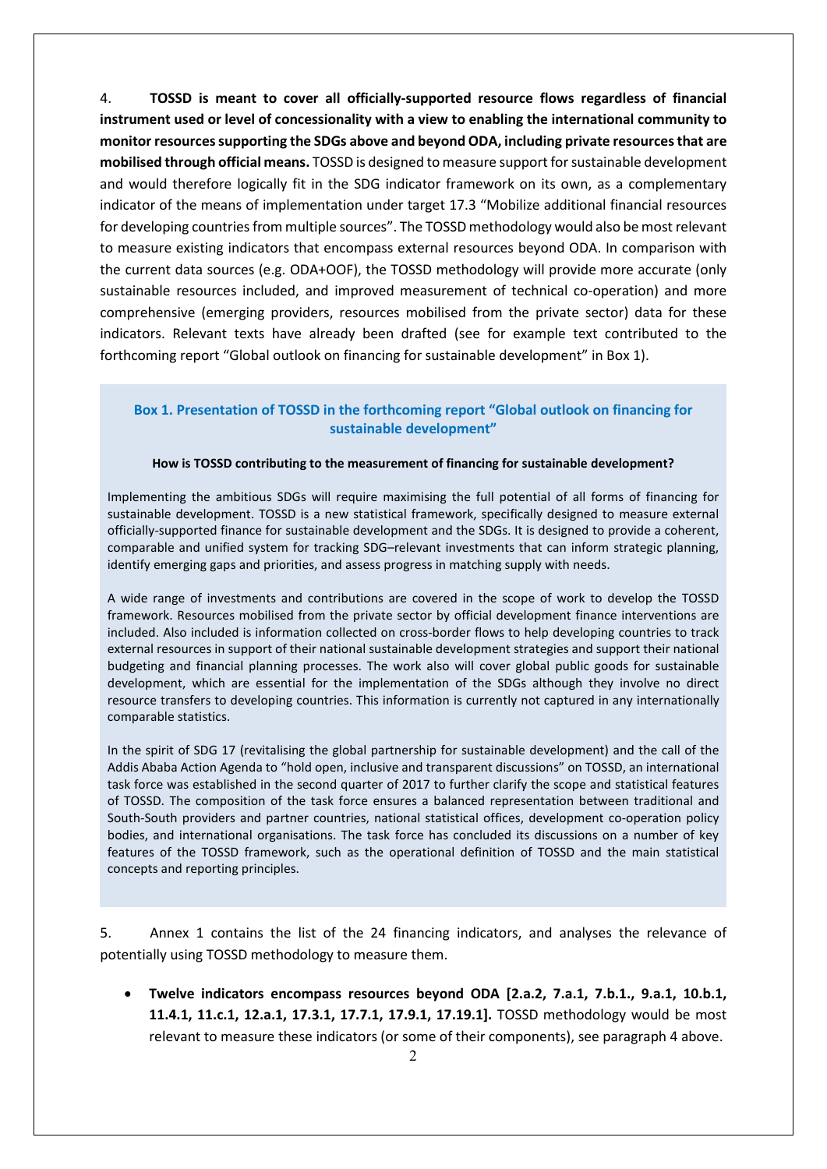4. **TOSSD is meant to cover all officially-supported resource flows regardless of financial instrument used or level of concessionality with a view to enabling the international community to monitor resources supporting the SDGs above and beyond ODA, including private resources that are mobilised through official means.** TOSSD is designed to measure support for sustainable development and would therefore logically fit in the SDG indicator framework on its own, as a complementary indicator of the means of implementation under target 17.3 "Mobilize additional financial resources for developing countries from multiple sources". The TOSSD methodology would also be most relevant to measure existing indicators that encompass external resources beyond ODA. In comparison with the current data sources (e.g. ODA+OOF), the TOSSD methodology will provide more accurate (only sustainable resources included, and improved measurement of technical co-operation) and more comprehensive (emerging providers, resources mobilised from the private sector) data for these indicators. Relevant texts have already been drafted (see for example text contributed to the forthcoming report "Global outlook on financing for sustainable development" in Box 1).

## **Box 1. Presentation of TOSSD in the forthcoming report "Global outlook on financing for sustainable development"**

### **How is TOSSD contributing to the measurement of financing for sustainable development?**

Implementing the ambitious SDGs will require maximising the full potential of all forms of financing for sustainable development. TOSSD is a new statistical framework, specifically designed to measure external officially-supported finance for sustainable development and the SDGs. It is designed to provide a coherent, comparable and unified system for tracking SDG–relevant investments that can inform strategic planning, identify emerging gaps and priorities, and assess progress in matching supply with needs.

A wide range of investments and contributions are covered in the scope of work to develop the TOSSD framework. Resources mobilised from the private sector by official development finance interventions are included. Also included is information collected on cross-border flows to help developing countries to track external resources in support of their national sustainable development strategies and support their national budgeting and financial planning processes. The work also will cover global public goods for sustainable development, which are essential for the implementation of the SDGs although they involve no direct resource transfers to developing countries. This information is currently not captured in any internationally comparable statistics.

In the spirit of SDG 17 (revitalising the global partnership for sustainable development) and the call of the Addis Ababa Action Agenda to "hold open, inclusive and transparent discussions" on TOSSD, an international task force was established in the second quarter of 2017 to further clarify the scope and statistical features of TOSSD. The composition of the task force ensures a balanced representation between traditional and South-South providers and partner countries, national statistical offices, development co-operation policy bodies, and international organisations. The task force has concluded its discussions on a number of key features of the TOSSD framework, such as the operational definition of TOSSD and the main statistical concepts and reporting principles.

5. Annex 1 contains the list of the 24 financing indicators, and analyses the relevance of potentially using TOSSD methodology to measure them.

• **Twelve indicators encompass resources beyond ODA [2.a.2, 7.a.1, 7.b.1., 9.a.1, 10.b.1, 11.4.1, 11.c.1, 12.a.1, 17.3.1, 17.7.1, 17.9.1, 17.19.1].** TOSSD methodology would be most relevant to measure these indicators (or some of their components), see paragraph 4 above.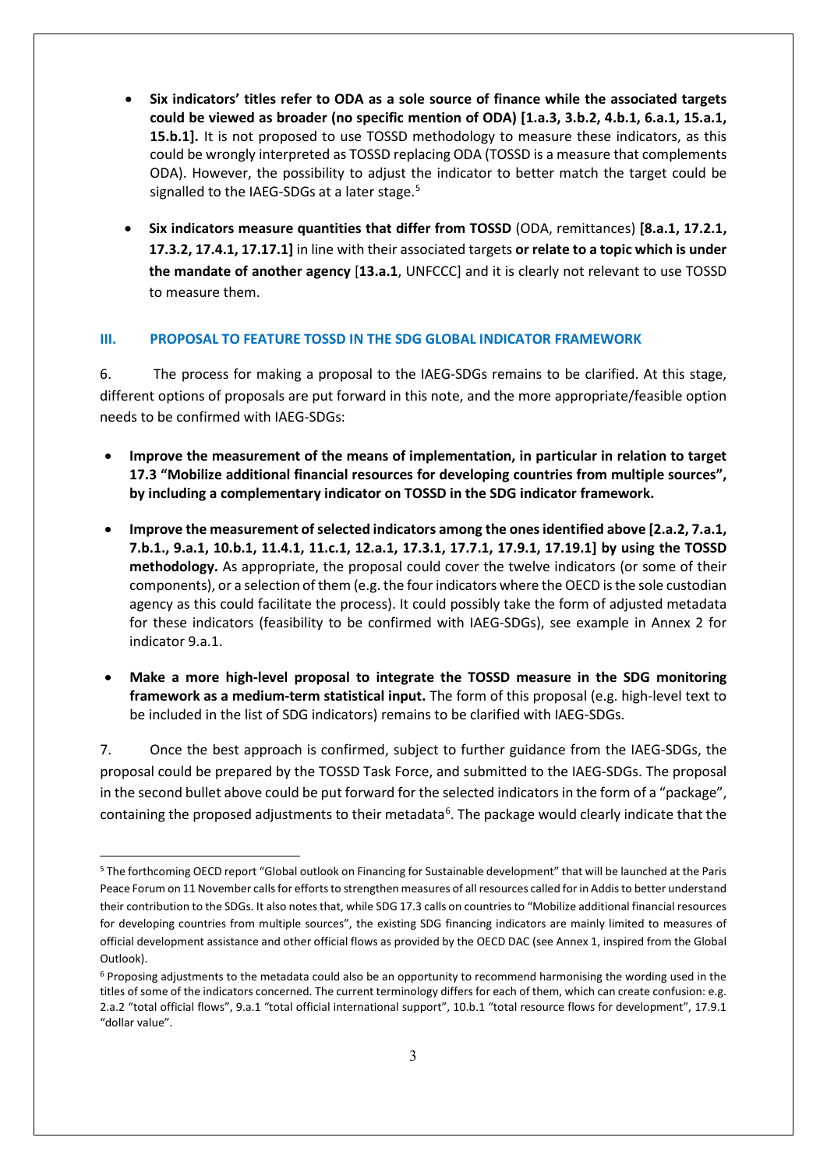- **Six indicators' titles refer to ODA as a sole source of finance while the associated targets could be viewed as broader (no specific mention of ODA) [1.a.3, 3.b.2, 4.b.1, 6.a.1, 15.a.1, 15.b.1].** It is not proposed to use TOSSD methodology to measure these indicators, as this could be wrongly interpreted as TOSSD replacing ODA (TOSSD is a measure that complements ODA). However, the possibility to adjust the indicator to better match the target could be signalled to the IAEG-SDGs at a later stage.<sup>[5](#page-2-0)</sup>
- **Six indicators measure quantities that differ from TOSSD** (ODA, remittances) **[8.a.1, 17.2.1, 17.3.2, 17.4.1, 17.17.1]** in line with their associated targets **or relate to a topic which is under the mandate of another agency** [**13.a.1**, UNFCCC] and it is clearly not relevant to use TOSSD to measure them.

## **III. PROPOSAL TO FEATURE TOSSD IN THE SDG GLOBAL INDICATOR FRAMEWORK**

6. The process for making a proposal to the IAEG-SDGs remains to be clarified. At this stage, different options of proposals are put forward in this note, and the more appropriate/feasible option needs to be confirmed with IAEG-SDGs:

- **Improve the measurement of the means of implementation, in particular in relation to target 17.3 "Mobilize additional financial resources for developing countries from multiple sources", by including a complementary indicator on TOSSD in the SDG indicator framework.**
- **Improve the measurement of selected indicators among the ones identified above [2.a.2, 7.a.1, 7.b.1., 9.a.1, 10.b.1, 11.4.1, 11.c.1, 12.a.1, 17.3.1, 17.7.1, 17.9.1, 17.19.1] by using the TOSSD methodology.** As appropriate, the proposal could cover the twelve indicators (or some of their components), or a selection of them (e.g. the four indicators where the OECD is the sole custodian agency as this could facilitate the process). It could possibly take the form of adjusted metadata for these indicators (feasibility to be confirmed with IAEG-SDGs), see example in Annex 2 for indicator 9.a.1.
- **Make a more high-level proposal to integrate the TOSSD measure in the SDG monitoring framework as a medium-term statistical input.** The form of this proposal (e.g. high-level text to be included in the list of SDG indicators) remains to be clarified with IAEG-SDGs.

7. Once the best approach is confirmed, subject to further guidance from the IAEG-SDGs, the proposal could be prepared by the TOSSD Task Force, and submitted to the IAEG-SDGs. The proposal in the second bullet above could be put forward for the selected indicators in the form of a "package", containing the proposed adjustments to their metadata<sup>[6](#page-2-1)</sup>. The package would clearly indicate that the

<span id="page-2-0"></span><sup>-</sup><sup>5</sup> The forthcoming OECD report "Global outlook on Financing for Sustainable development" that will be launched at the Paris Peace Forum on 11 November calls for efforts to strengthen measures of all resources called for in Addis to better understand their contribution to the SDGs. It also notes that, while SDG 17.3 calls on countries to "Mobilize additional financial resources for developing countries from multiple sources", the existing SDG financing indicators are mainly limited to measures of official development assistance and other official flows as provided by the OECD DAC (see Annex 1, inspired from the Global Outlook).

<span id="page-2-1"></span><sup>&</sup>lt;sup>6</sup> Proposing adjustments to the metadata could also be an opportunity to recommend harmonising the wording used in the titles of some of the indicators concerned. The current terminology differs for each of them, which can create confusion: e.g. 2.a.2 "total official flows", 9.a.1 "total official international support", 10.b.1 "total resource flows for development", 17.9.1 "dollar value".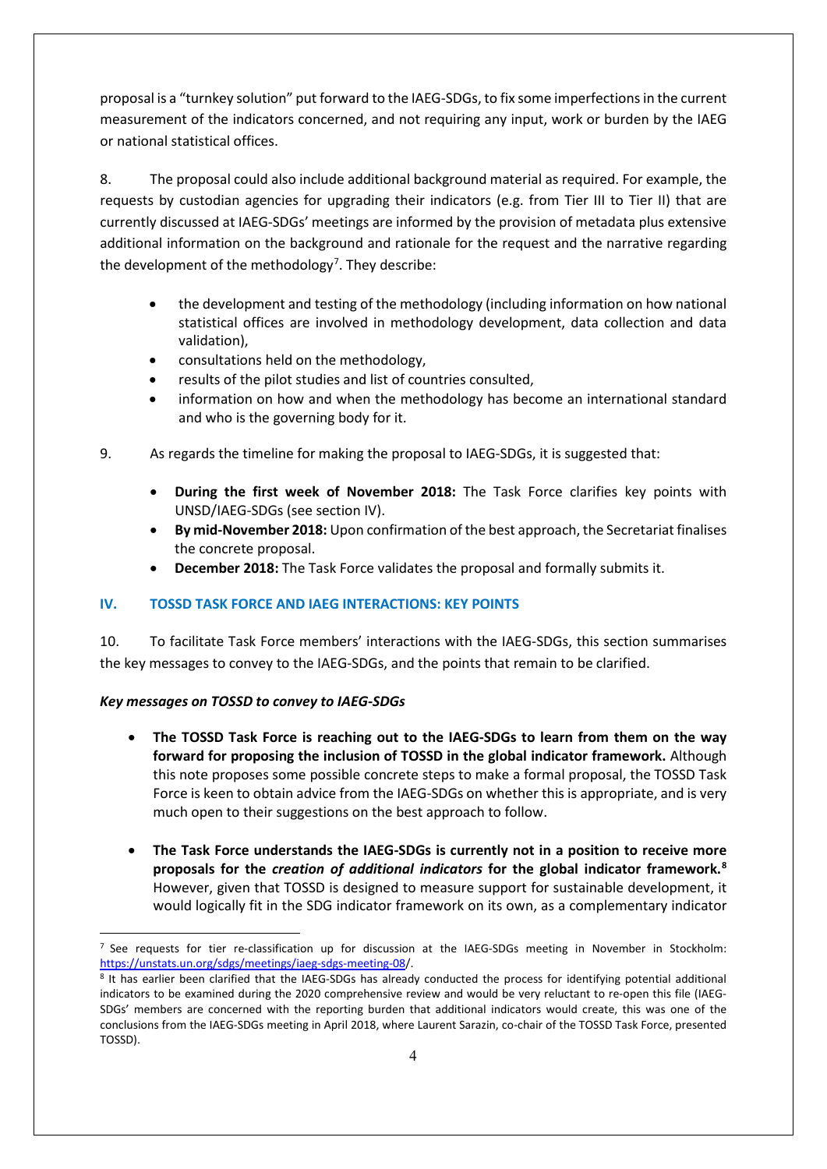proposal is a "turnkey solution" put forward to the IAEG-SDGs, to fix some imperfections in the current measurement of the indicators concerned, and not requiring any input, work or burden by the IAEG or national statistical offices.

8. The proposal could also include additional background material as required. For example, the requests by custodian agencies for upgrading their indicators (e.g. from Tier III to Tier II) that are currently discussed at IAEG-SDGs' meetings are informed by the provision of metadata plus extensive additional information on the background and rationale for the request and the narrative regarding the development of the methodology<sup>[7](#page-3-0)</sup>. They describe:

- the development and testing of the methodology (including information on how national statistical offices are involved in methodology development, data collection and data validation),
- consultations held on the methodology,
- results of the pilot studies and list of countries consulted,
- information on how and when the methodology has become an international standard and who is the governing body for it.
- 9. As regards the timeline for making the proposal to IAEG-SDGs, it is suggested that:
	- **During the first week of November 2018:** The Task Force clarifies key points with UNSD/IAEG-SDGs (see section IV).
	- **By mid-November 2018:** Upon confirmation of the best approach, the Secretariat finalises the concrete proposal.
	- **December 2018:** The Task Force validates the proposal and formally submits it.

## **IV. TOSSD TASK FORCE AND IAEG INTERACTIONS: KEY POINTS**

10. To facilitate Task Force members' interactions with the IAEG-SDGs, this section summarises the key messages to convey to the IAEG-SDGs, and the points that remain to be clarified.

## *Key messages on TOSSD to convey to IAEG-SDGs*

- **The TOSSD Task Force is reaching out to the IAEG-SDGs to learn from them on the way forward for proposing the inclusion of TOSSD in the global indicator framework.** Although this note proposes some possible concrete steps to make a formal proposal, the TOSSD Task Force is keen to obtain advice from the IAEG-SDGs on whether this is appropriate, and is very much open to their suggestions on the best approach to follow.
- **The Task Force understands the IAEG-SDGs is currently not in a position to receive more proposals for the** *creation of additional indicators* **for the global indicator framework. [8](#page-3-1)** However, given that TOSSD is designed to measure support for sustainable development, it would logically fit in the SDG indicator framework on its own, as a complementary indicator

<span id="page-3-0"></span><sup>-</sup><sup>7</sup> See requests for tier re-classification up for discussion at the IAEG-SDGs meeting in November in Stockholm: [https://unstats.un.org/sdgs/meetings/iaeg-sdgs-meeting-08/](https://unstats.un.org/sdgs/meetings/iaeg-sdgs-meeting-08).

<span id="page-3-1"></span><sup>8</sup> It has earlier been clarified that the IAEG-SDGs has already conducted the process for identifying potential additional indicators to be examined during the 2020 comprehensive review and would be very reluctant to re-open this file (IAEG-SDGs' members are concerned with the reporting burden that additional indicators would create, this was one of the conclusions from the IAEG-SDGs meeting in April 2018, where Laurent Sarazin, co-chair of the TOSSD Task Force, presented TOSSD).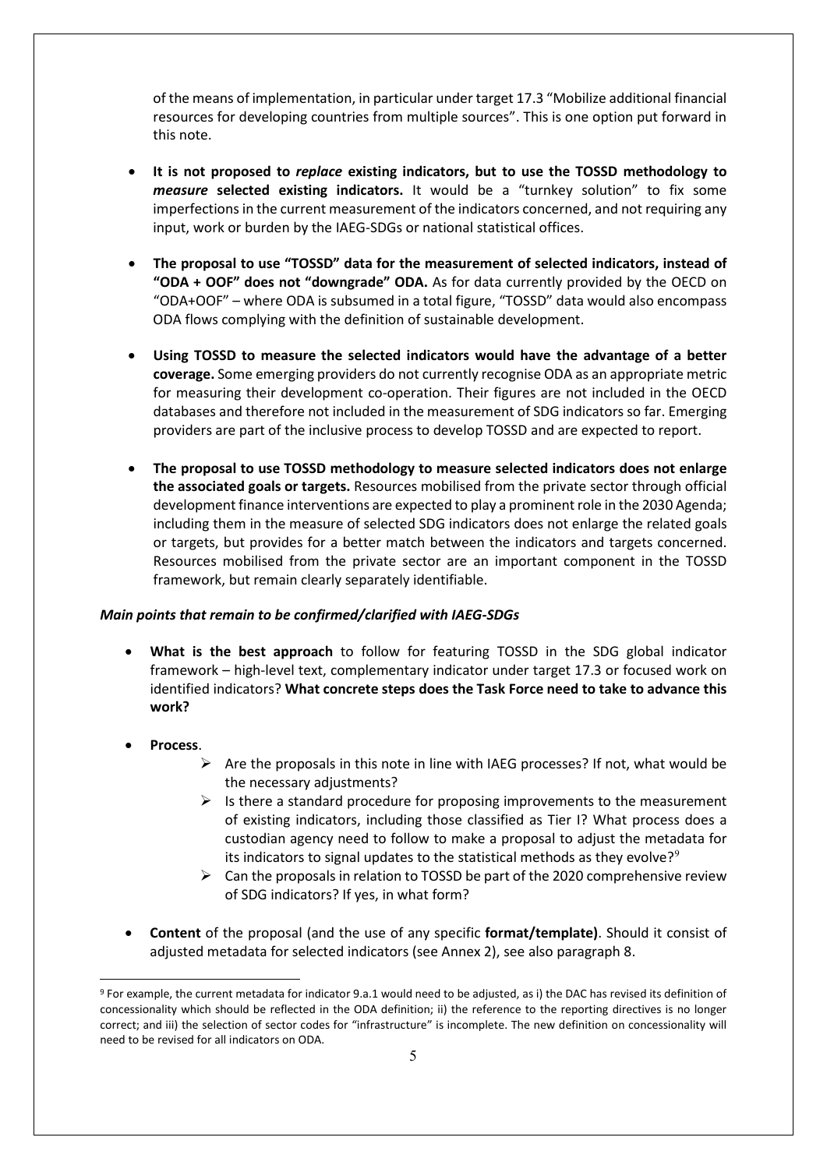of the means of implementation, in particular under target 17.3 "Mobilize additional financial resources for developing countries from multiple sources". This is one option put forward in this note.

- **It is not proposed to** *replace* **existing indicators, but to use the TOSSD methodology to**  *measure* **selected existing indicators.** It would be a "turnkey solution" to fix some imperfections in the current measurement of the indicators concerned, and not requiring any input, work or burden by the IAEG-SDGs or national statistical offices.
- **The proposal to use "TOSSD" data for the measurement of selected indicators, instead of "ODA + OOF" does not "downgrade" ODA.** As for data currently provided by the OECD on "ODA+OOF" – where ODA is subsumed in a total figure, "TOSSD" data would also encompass ODA flows complying with the definition of sustainable development.
- **Using TOSSD to measure the selected indicators would have the advantage of a better coverage.** Some emerging providers do not currently recognise ODA as an appropriate metric for measuring their development co-operation. Their figures are not included in the OECD databases and therefore not included in the measurement of SDG indicators so far. Emerging providers are part of the inclusive process to develop TOSSD and are expected to report.
- **The proposal to use TOSSD methodology to measure selected indicators does not enlarge the associated goals or targets.** Resources mobilised from the private sector through official development finance interventions are expected to play a prominent role in the 2030 Agenda; including them in the measure of selected SDG indicators does not enlarge the related goals or targets, but provides for a better match between the indicators and targets concerned. Resources mobilised from the private sector are an important component in the TOSSD framework, but remain clearly separately identifiable.

### *Main points that remain to be confirmed/clarified with IAEG-SDGs*

- **What is the best approach** to follow for featuring TOSSD in the SDG global indicator framework – high-level text, complementary indicator under target 17.3 or focused work on identified indicators? **What concrete steps does the Task Force need to take to advance this work?**
- **Process**.

<u>.</u>

- $\triangleright$  Are the proposals in this note in line with IAEG processes? If not, what would be the necessary adjustments?
- $\triangleright$  Is there a standard procedure for proposing improvements to the measurement of existing indicators, including those classified as Tier I? What process does a custodian agency need to follow to make a proposal to adjust the metadata for its indicators to signal updates to the statistical methods as they evolve?<sup>[9](#page-4-0)</sup>
- $\triangleright$  Can the proposals in relation to TOSSD be part of the 2020 comprehensive review of SDG indicators? If yes, in what form?
- **Content** of the proposal (and the use of any specific **format/template)**. Should it consist of adjusted metadata for selected indicators (see Annex 2), see also paragraph 8.

<span id="page-4-0"></span><sup>9</sup> For example, the current metadata for indicator 9.a.1 would need to be adjusted, as i) the DAC has revised its definition of concessionality which should be reflected in the ODA definition; ii) the reference to the reporting directives is no longer correct; and iii) the selection of sector codes for "infrastructure" is incomplete. The new definition on concessionality will need to be revised for all indicators on ODA.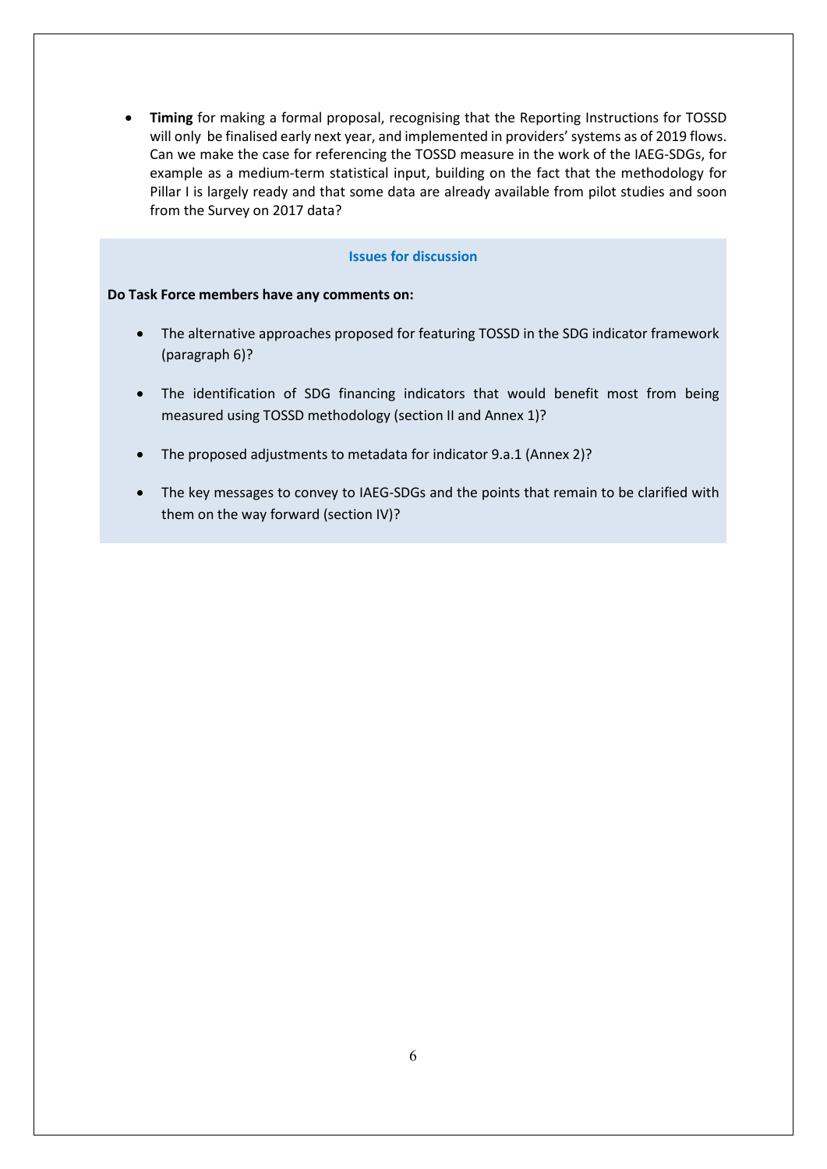• **Timing** for making a formal proposal, recognising that the Reporting Instructions for TOSSD will only be finalised early next year, and implemented in providers' systems as of 2019 flows. Can we make the case for referencing the TOSSD measure in the work of the IAEG-SDGs, for example as a medium-term statistical input, building on the fact that the methodology for Pillar I is largely ready and that some data are already available from pilot studies and soon from the Survey on 2017 data?

## **Issues for discussion**

### **Do Task Force members have any comments on:**

- The alternative approaches proposed for featuring TOSSD in the SDG indicator framework (paragraph 6)?
- The identification of SDG financing indicators that would benefit most from being measured using TOSSD methodology (section II and Annex 1)?
- The proposed adjustments to metadata for indicator 9.a.1 (Annex 2)?
- The key messages to convey to IAEG-SDGs and the points that remain to be clarified with them on the way forward (section IV)?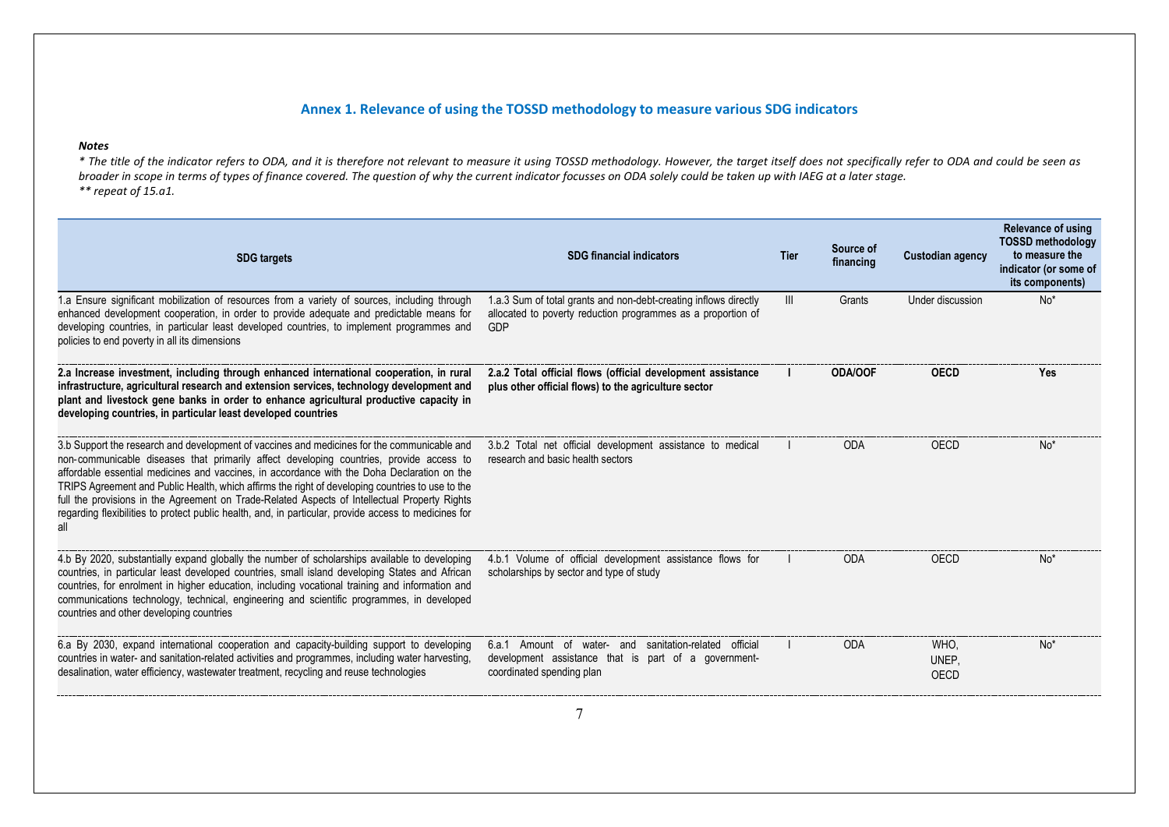## **Annex 1. Relevance of using the TOSSD methodology to measure various SDG indicators**

### *Notes*

*\* The title of the indicator refers to ODA, and it is therefore not relevant to measure it using TOSSD methodology. However, the target itself does not specifically refer to ODA and could be seen as broader in scope in terms of types of finance covered. The question of why the current indicator focusses on ODA solely could be taken up with IAEG at a later stage. \*\* repeat of 15.a1.*

| <b>SDG</b> targets                                                                                                                                                                                                                                                                                                                                                                                                                                                                                                                                                                                         | <b>SDG financial indicators</b>                                                                                                             | Tier           | Source of<br>financing | <b>Custodian agency</b> | Relevance of using<br><b>TOSSD methodology</b><br>to measure the<br>indicator (or some of<br>its components) |
|------------------------------------------------------------------------------------------------------------------------------------------------------------------------------------------------------------------------------------------------------------------------------------------------------------------------------------------------------------------------------------------------------------------------------------------------------------------------------------------------------------------------------------------------------------------------------------------------------------|---------------------------------------------------------------------------------------------------------------------------------------------|----------------|------------------------|-------------------------|--------------------------------------------------------------------------------------------------------------|
| 1.a Ensure significant mobilization of resources from a variety of sources, including through<br>enhanced development cooperation, in order to provide adequate and predictable means for<br>developing countries, in particular least developed countries, to implement programmes and<br>policies to end poverty in all its dimensions                                                                                                                                                                                                                                                                   | 1.a.3 Sum of total grants and non-debt-creating inflows directly<br>allocated to poverty reduction programmes as a proportion of<br>GDP     | $\mathbf{III}$ | Grants                 | Under discussion        | $No*$                                                                                                        |
| 2.a Increase investment, including through enhanced international cooperation, in rural<br>infrastructure, agricultural research and extension services, technology development and<br>plant and livestock gene banks in order to enhance agricultural productive capacity in<br>developing countries, in particular least developed countries                                                                                                                                                                                                                                                             | 2.a.2 Total official flows (official development assistance<br>plus other official flows) to the agriculture sector                         |                | <b>ODA/OOF</b>         | <b>OECD</b>             | Yes                                                                                                          |
| 3.b Support the research and development of vaccines and medicines for the communicable and<br>non-communicable diseases that primarily affect developing countries, provide access to<br>affordable essential medicines and vaccines, in accordance with the Doha Declaration on the<br>TRIPS Agreement and Public Health, which affirms the right of developing countries to use to the<br>full the provisions in the Agreement on Trade-Related Aspects of Intellectual Property Rights<br>regarding flexibilities to protect public health, and, in particular, provide access to medicines for<br>all | 3.b.2 Total net official development assistance to medical<br>research and basic health sectors                                             |                | ODA                    | OECD                    | No'                                                                                                          |
| 4.b By 2020, substantially expand globally the number of scholarships available to developing<br>countries, in particular least developed countries, small island developing States and African<br>countries, for enrolment in higher education, including vocational training and information and<br>communications technology, technical, engineering and scientific programmes, in developed<br>countries and other developing countries                                                                                                                                                                | 4.b.1 Volume of official development assistance flows for<br>scholarships by sector and type of study                                       |                | <b>ODA</b>             | OECD                    | No*                                                                                                          |
| 6.a By 2030, expand international cooperation and capacity-building support to developing<br>countries in water- and sanitation-related activities and programmes, including water harvesting,<br>desalination, water efficiency, wastewater treatment, recycling and reuse technologies                                                                                                                                                                                                                                                                                                                   | 6.a.1 Amount of water- and sanitation-related official<br>development assistance that is part of a government-<br>coordinated spending plan |                | <b>ODA</b>             | WHO.<br>UNEP.<br>OECD   | No*                                                                                                          |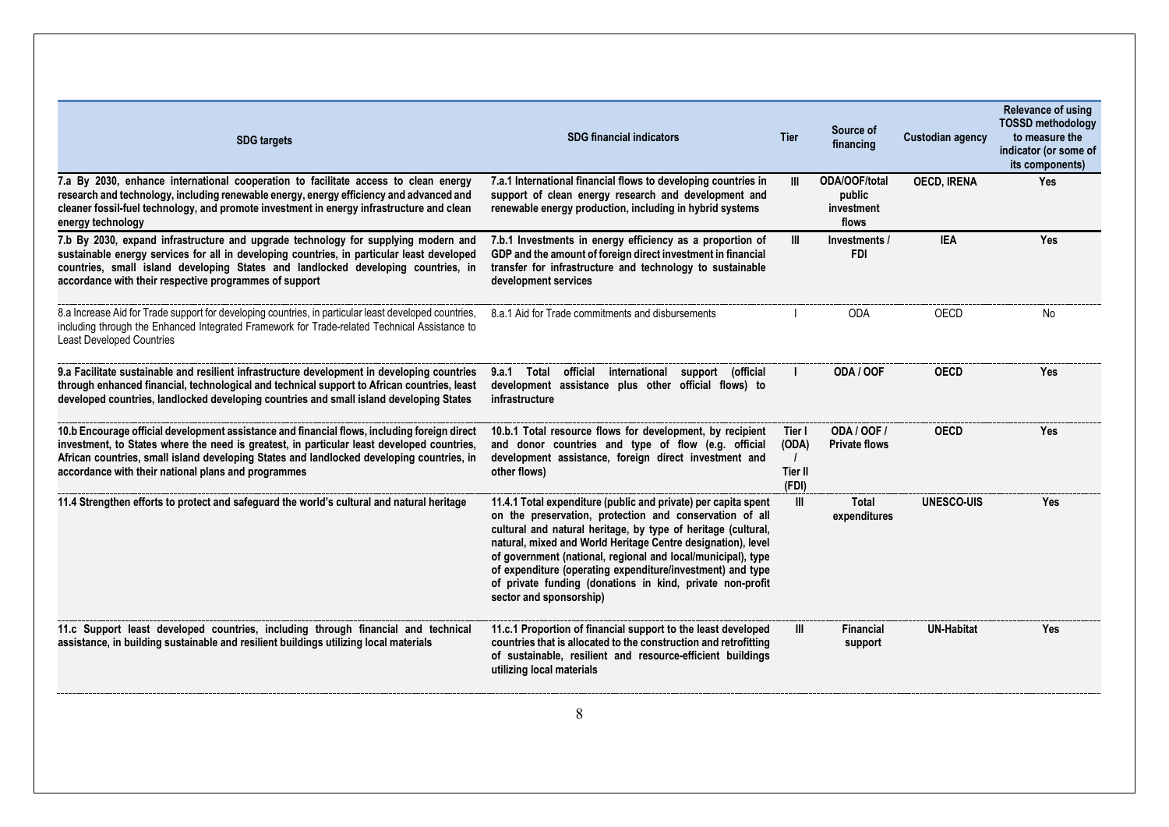| <b>SDG targets</b>                                                                                                                                                                                                                                                                                                                             | <b>SDG financial indicators</b>                                                                                                                                                                                                                                                                                                                                                                                                                                                  | Tier                                | Source of<br>financing                                | <b>Custodian agency</b> | Relevance of using<br><b>TOSSD methodology</b><br>to measure the<br>indicator (or some of<br>its components) |
|------------------------------------------------------------------------------------------------------------------------------------------------------------------------------------------------------------------------------------------------------------------------------------------------------------------------------------------------|----------------------------------------------------------------------------------------------------------------------------------------------------------------------------------------------------------------------------------------------------------------------------------------------------------------------------------------------------------------------------------------------------------------------------------------------------------------------------------|-------------------------------------|-------------------------------------------------------|-------------------------|--------------------------------------------------------------------------------------------------------------|
| 7.a By 2030, enhance international cooperation to facilitate access to clean energy<br>research and technology, including renewable energy, energy efficiency and advanced and<br>cleaner fossil-fuel technology, and promote investment in energy infrastructure and clean<br>energy technology                                               | 7.a.1 International financial flows to developing countries in<br>support of clean energy research and development and<br>renewable energy production, including in hybrid systems                                                                                                                                                                                                                                                                                               | Ш                                   | <b>ODA/OOF/total</b><br>public<br>investment<br>flows | <b>OECD, IRENA</b>      | <b>Yes</b>                                                                                                   |
| 7.b By 2030, expand infrastructure and upgrade technology for supplying modern and<br>sustainable energy services for all in developing countries, in particular least developed<br>countries, small island developing States and landlocked developing countries, in<br>accordance with their respective programmes of support                | 7.b.1 Investments in energy efficiency as a proportion of<br>GDP and the amount of foreign direct investment in financial<br>transfer for infrastructure and technology to sustainable<br>development services                                                                                                                                                                                                                                                                   | Ш                                   | Investments /<br><b>FDI</b>                           | <b>IEA</b>              | Yes                                                                                                          |
| 8.a Increase Aid for Trade support for developing countries, in particular least developed countries,<br>including through the Enhanced Integrated Framework for Trade-related Technical Assistance to<br><b>Least Developed Countries</b>                                                                                                     | 8.a.1 Aid for Trade commitments and disbursements                                                                                                                                                                                                                                                                                                                                                                                                                                |                                     | <b>ODA</b>                                            | OECD                    | No                                                                                                           |
| 9.a Facilitate sustainable and resilient infrastructure development in developing countries<br>through enhanced financial, technological and technical support to African countries, least<br>developed countries, landlocked developing countries and small island developing States                                                          | official international support (official<br>9.a.1 Total<br>development assistance plus other official flows) to<br>infrastructure                                                                                                                                                                                                                                                                                                                                                |                                     | ODA / OOF                                             | <b>OECD</b>             | Yes                                                                                                          |
| 10.b Encourage official development assistance and financial flows, including foreign direct<br>investment, to States where the need is greatest, in particular least developed countries,<br>African countries, small island developing States and landlocked developing countries, in<br>accordance with their national plans and programmes | 10.b.1 Total resource flows for development, by recipient<br>and donor countries and type of flow (e.g. official<br>development assistance, foreign direct investment and<br>other flows)                                                                                                                                                                                                                                                                                        | Tier I<br>(ODA)<br>Tier II<br>(FDI) | <b>ODA / OOF /</b><br><b>Private flows</b>            | <b>OECD</b>             | Yes                                                                                                          |
| 11.4 Strengthen efforts to protect and safeguard the world's cultural and natural heritage                                                                                                                                                                                                                                                     | 11.4.1 Total expenditure (public and private) per capita spent<br>on the preservation, protection and conservation of all<br>cultural and natural heritage, by type of heritage (cultural,<br>natural, mixed and World Heritage Centre designation), level<br>of government (national, regional and local/municipal), type<br>of expenditure (operating expenditure/investment) and type<br>of private funding (donations in kind, private non-profit<br>sector and sponsorship) | Ш                                   | <b>Total</b><br>expenditures                          | <b>UNESCO-UIS</b>       | Yes                                                                                                          |
| 11.c Support least developed countries, including through financial and technical<br>assistance, in building sustainable and resilient buildings utilizing local materials                                                                                                                                                                     | 11.c.1 Proportion of financial support to the least developed<br>countries that is allocated to the construction and retrofitting<br>of sustainable, resilient and resource-efficient buildings<br>utilizing local materials                                                                                                                                                                                                                                                     | Ш                                   | <b>Financial</b><br>support                           | <b>UN-Habitat</b>       | <b>Yes</b>                                                                                                   |
|                                                                                                                                                                                                                                                                                                                                                | 8                                                                                                                                                                                                                                                                                                                                                                                                                                                                                |                                     |                                                       |                         |                                                                                                              |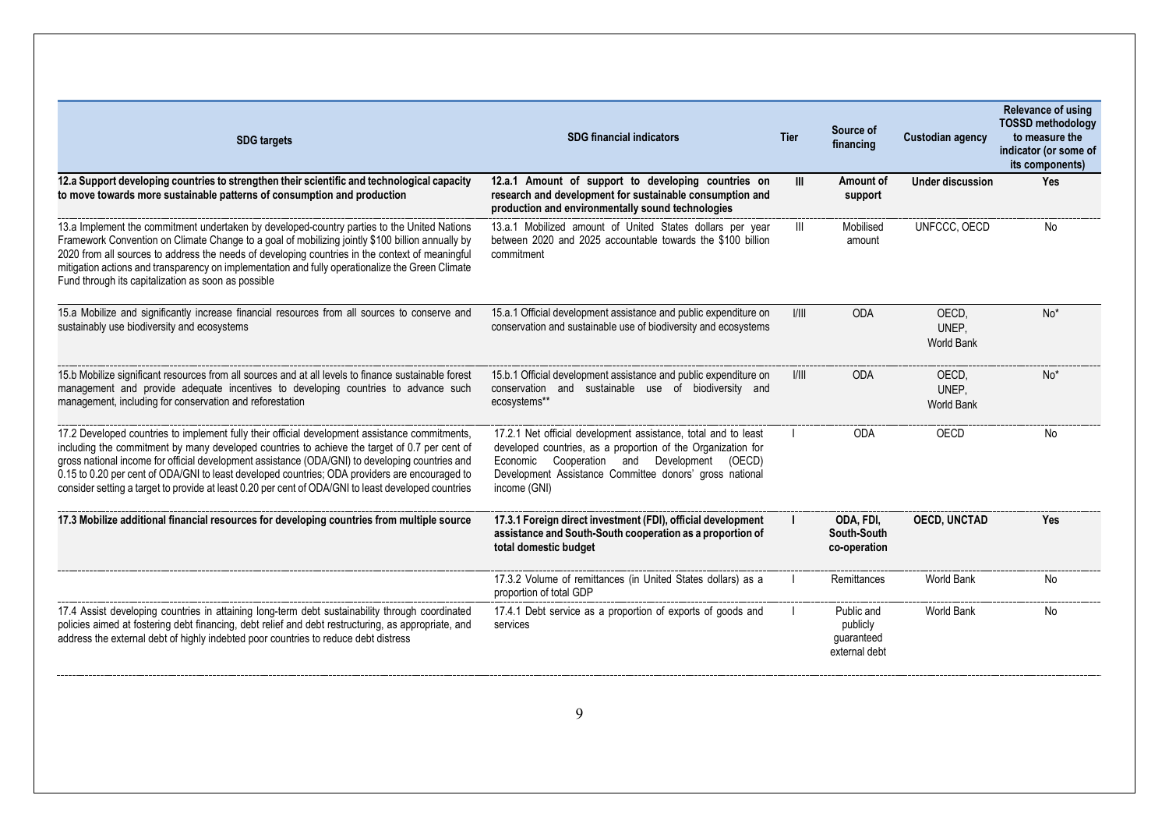| <b>SDG</b> targets                                                                                                                                                                                                                                                                                                                                                                                                                                                                                          | <b>SDG financial indicators</b>                                                                                                                                                                                                                          | Tier  | Source of<br>financing                                | <b>Custodian agency</b>             | Relevance of using<br><b>TOSSD methodology</b><br>to measure the<br>indicator (or some of<br>its components) |
|-------------------------------------------------------------------------------------------------------------------------------------------------------------------------------------------------------------------------------------------------------------------------------------------------------------------------------------------------------------------------------------------------------------------------------------------------------------------------------------------------------------|----------------------------------------------------------------------------------------------------------------------------------------------------------------------------------------------------------------------------------------------------------|-------|-------------------------------------------------------|-------------------------------------|--------------------------------------------------------------------------------------------------------------|
| 12.a Support developing countries to strengthen their scientific and technological capacity<br>to move towards more sustainable patterns of consumption and production                                                                                                                                                                                                                                                                                                                                      | 12.a.1 Amount of support to developing countries on<br>research and development for sustainable consumption and<br>production and environmentally sound technologies                                                                                     | Ш     | Amount of<br>support                                  | <b>Under discussion</b>             | Yes                                                                                                          |
| 13.a Implement the commitment undertaken by developed-country parties to the United Nations<br>Framework Convention on Climate Change to a goal of mobilizing jointly \$100 billion annually by<br>2020 from all sources to address the needs of developing countries in the context of meaningful<br>mitigation actions and transparency on implementation and fully operationalize the Green Climate<br>Fund through its capitalization as soon as possible                                               | 13.a.1 Mobilized amount of United States dollars per year<br>between 2020 and 2025 accountable towards the \$100 billion<br>commitment                                                                                                                   | Ш     | Mobilised<br>amount                                   | UNFCCC, OECD                        | No                                                                                                           |
| 15.a Mobilize and significantly increase financial resources from all sources to conserve and<br>sustainably use biodiversity and ecosystems                                                                                                                                                                                                                                                                                                                                                                | 15.a.1 Official development assistance and public expenditure on<br>conservation and sustainable use of biodiversity and ecosystems                                                                                                                      | 1/111 | <b>ODA</b>                                            | OECD,<br>UNEP.<br><b>World Bank</b> | $No*$                                                                                                        |
| 15.b Mobilize significant resources from all sources and at all levels to finance sustainable forest<br>management and provide adequate incentives to developing countries to advance such<br>management, including for conservation and reforestation                                                                                                                                                                                                                                                      | 15.b.1 Official development assistance and public expenditure on<br>conservation and sustainable use of biodiversity and<br>ecosystems**                                                                                                                 | 1/111 | <b>ODA</b>                                            | OECD.<br>UNEP,<br><b>World Bank</b> | No <sup>*</sup>                                                                                              |
| 17.2 Developed countries to implement fully their official development assistance commitments,<br>including the commitment by many developed countries to achieve the target of 0.7 per cent of<br>gross national income for official development assistance (ODA/GNI) to developing countries and<br>0.15 to 0.20 per cent of ODA/GNI to least developed countries; ODA providers are encouraged to<br>consider setting a target to provide at least 0.20 per cent of ODA/GNI to least developed countries | 17.2.1 Net official development assistance, total and to least<br>developed countries, as a proportion of the Organization for<br>Economic Cooperation and Development (OECD)<br>Development Assistance Committee donors' gross national<br>income (GNI) |       | <b>ODA</b>                                            | OECD                                | No                                                                                                           |
| 17.3 Mobilize additional financial resources for developing countries from multiple source                                                                                                                                                                                                                                                                                                                                                                                                                  | 17.3.1 Foreign direct investment (FDI), official development<br>assistance and South-South cooperation as a proportion of<br>total domestic budget                                                                                                       |       | ODA, FDI.<br>South-South<br>co-operation              | <b>OECD, UNCTAD</b>                 | Yes                                                                                                          |
|                                                                                                                                                                                                                                                                                                                                                                                                                                                                                                             | 17.3.2 Volume of remittances (in United States dollars) as a<br>proportion of total GDP                                                                                                                                                                  |       | Remittances                                           | <b>World Bank</b>                   | No                                                                                                           |
| 17.4 Assist developing countries in attaining long-term debt sustainability through coordinated<br>policies aimed at fostering debt financing, debt relief and debt restructuring, as appropriate, and<br>address the external debt of highly indebted poor countries to reduce debt distress                                                                                                                                                                                                               | 17.4.1 Debt service as a proportion of exports of goods and<br>services                                                                                                                                                                                  |       | Public and<br>publicly<br>quaranteed<br>external debt | World Bank                          | No                                                                                                           |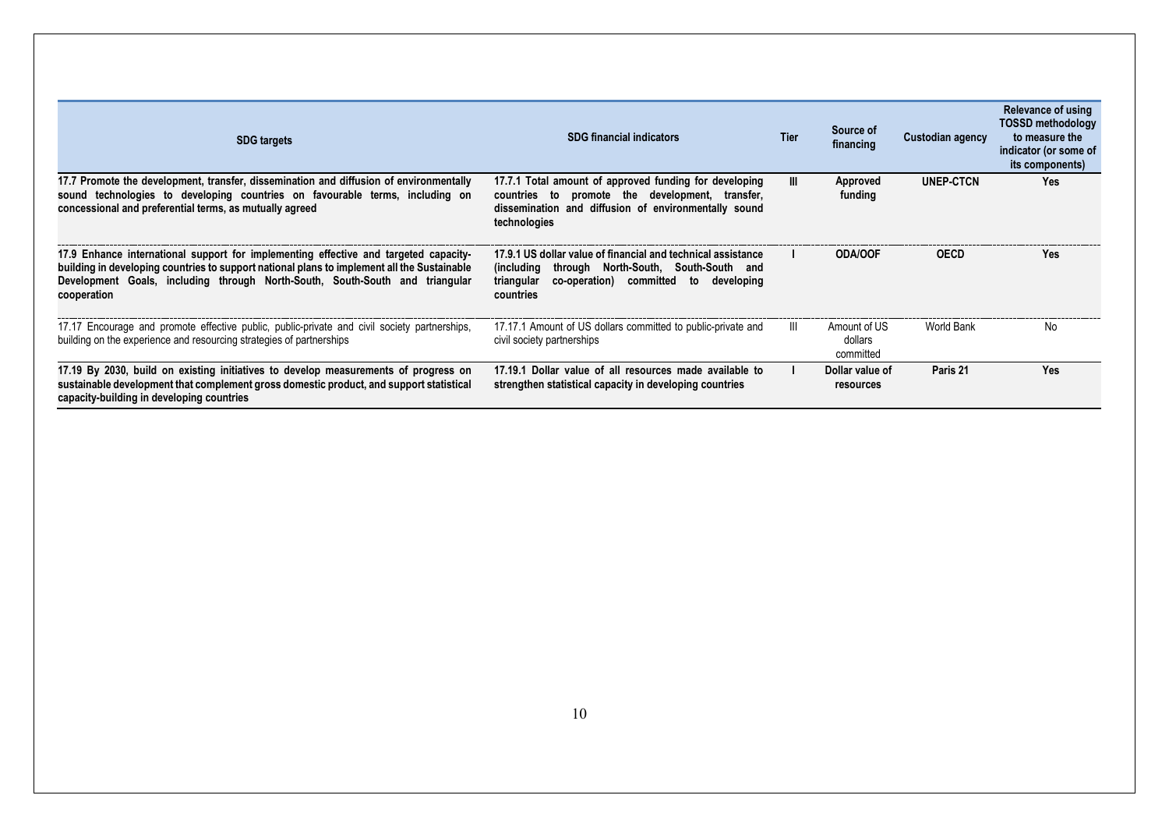| <b>SDG</b> targets                                                                                                                                                                                                                                                                 | <b>SDG financial indicators</b>                                                                                                                                                     | <b>Tier</b> | Source of<br>financing               | Custodian agency | Relevance of using<br><b>TOSSD methodology</b><br>to measure the<br>indicator (or some of<br>its components) |
|------------------------------------------------------------------------------------------------------------------------------------------------------------------------------------------------------------------------------------------------------------------------------------|-------------------------------------------------------------------------------------------------------------------------------------------------------------------------------------|-------------|--------------------------------------|------------------|--------------------------------------------------------------------------------------------------------------|
| 17.7 Promote the development, transfer, dissemination and diffusion of environmentally<br>technologies to developing countries on favourable terms, including on<br>sound<br>concessional and preferential terms, as mutually agreed                                               | 17.7.1 Total amount of approved funding for developing<br>countries to promote the development, transfer,<br>dissemination and diffusion of environmentally sound<br>technologies   | Ш           | Approved<br>funding                  | UNEP-CTCN        | <b>Yes</b>                                                                                                   |
| 17.9 Enhance international support for implementing effective and targeted capacity-<br>building in developing countries to support national plans to implement all the Sustainable<br>Development Goals, including through North-South, South-South and triangular<br>cooperation | 17.9.1 US dollar value of financial and technical assistance<br>(including through North-South, South-South and<br>co-operation) committed to developing<br>triangular<br>countries |             | <b>ODA/OOF</b>                       | <b>OECD</b>      | Yes                                                                                                          |
| 17.17 Encourage and promote effective public, public-private and civil society partnerships,<br>building on the experience and resourcing strategies of partnerships                                                                                                               | 17.17.1 Amount of US dollars committed to public-private and<br>civil society partnerships                                                                                          | Ш           | Amount of US<br>dollars<br>committed | World Bank       | No.                                                                                                          |
| 17.19 By 2030, build on existing initiatives to develop measurements of progress on<br>sustainable development that complement gross domestic product, and support statistical<br>capacity-building in developing countries                                                        | 17.19.1 Dollar value of all resources made available to<br>strengthen statistical capacity in developing countries                                                                  |             | Dollar value of<br>resources         | Paris 21         | Yes                                                                                                          |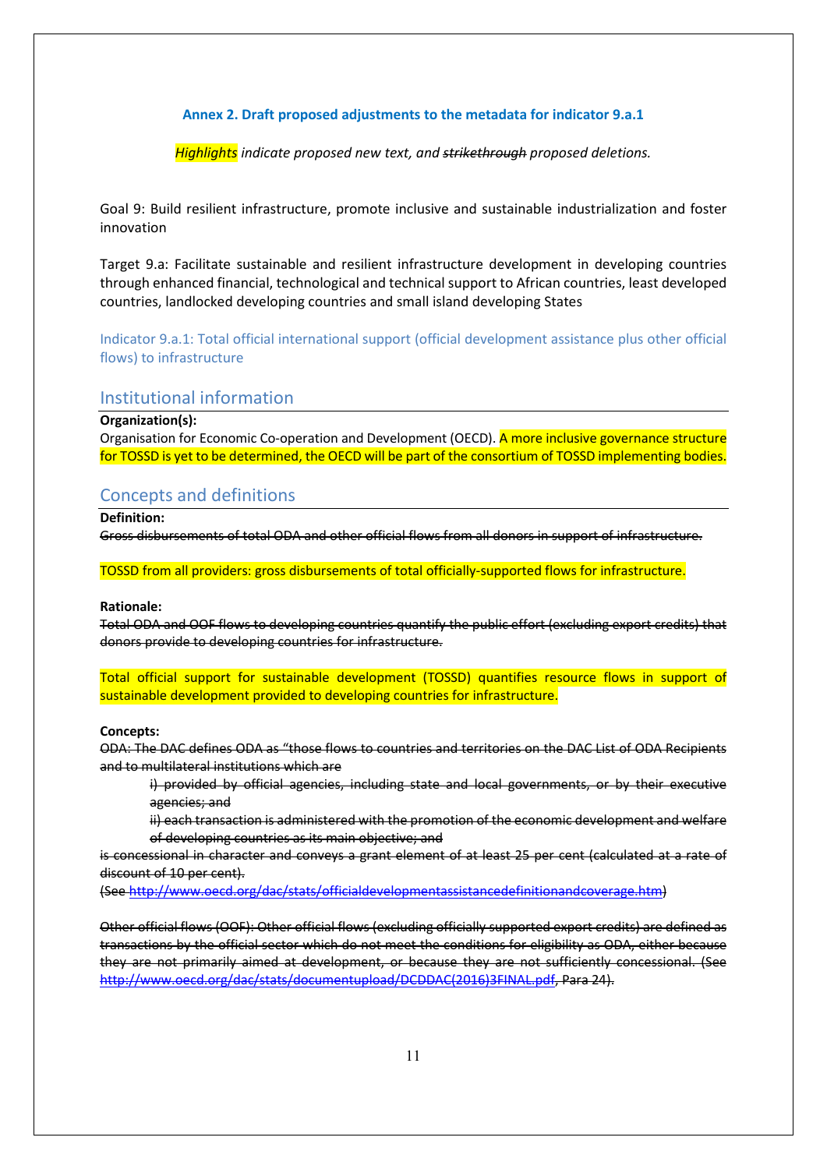### **Annex 2. Draft proposed adjustments to the metadata for indicator 9.a.1**

*Highlights indicate proposed new text, and strikethrough proposed deletions.* 

Goal 9: Build resilient infrastructure, promote inclusive and sustainable industrialization and foster innovation

Target 9.a: Facilitate sustainable and resilient infrastructure development in developing countries through enhanced financial, technological and technical support to African countries, least developed countries, landlocked developing countries and small island developing States

Indicator 9.a.1: Total official international support (official development assistance plus other official flows) to infrastructure

## Institutional information

### **Organization(s):**

Organisation for Economic Co-operation and Development (OECD). A more inclusive governance structure for TOSSD is yet to be determined, the OECD will be part of the consortium of TOSSD implementing bodies.

# Concepts and definitions

**Definition:** 

Gross disbursements of total ODA and other official flows from all donors in support of infrastructure.

TOSSD from all providers: gross disbursements of total officially-supported flows for infrastructure.

### **Rationale:**

Total ODA and OOF flows to developing countries quantify the public effort (excluding export credits) that donors provide to developing countries for infrastructure.

Total official support for sustainable development (TOSSD) quantifies resource flows in support of sustainable development provided to developing countries for infrastructure.

#### **Concepts:**

ODA: The DAC defines ODA as "those flows to countries and territories on the DAC List of ODA Recipients and to multilateral institutions which are

i) provided by official agencies, including state and local governments, or by their executive agencies; and

ii) each transaction is administered with the promotion of the economic development and welfare of developing countries as its main objective; and

is concessional in character and conveys a grant element of at least 25 per cent (calculated at a rate of discount of 10 per cent).

(See [http://www.oecd.org/dac/stats/officialdevelopmentassistancedefinitionandcoverage.htm\)](http://www.oecd.org/dac/stats/officialdevelopmentassistancedefinitionandcoverage.htm)

Other official flows (OOF): Other official flows (excluding officially supported export credits) are defined as transactions by the official sector which do not meet the conditions for eligibility as ODA, either because they are not primarily aimed at development, or because they are not sufficiently concessional. (See [http://www.oecd.org/dac/stats/documentupload/DCDDAC\(2016\)3FINAL.pdf,](http://www.oecd.org/dac/stats/documentupload/DCDDAC(2016)3FINAL.pdf) Para 24).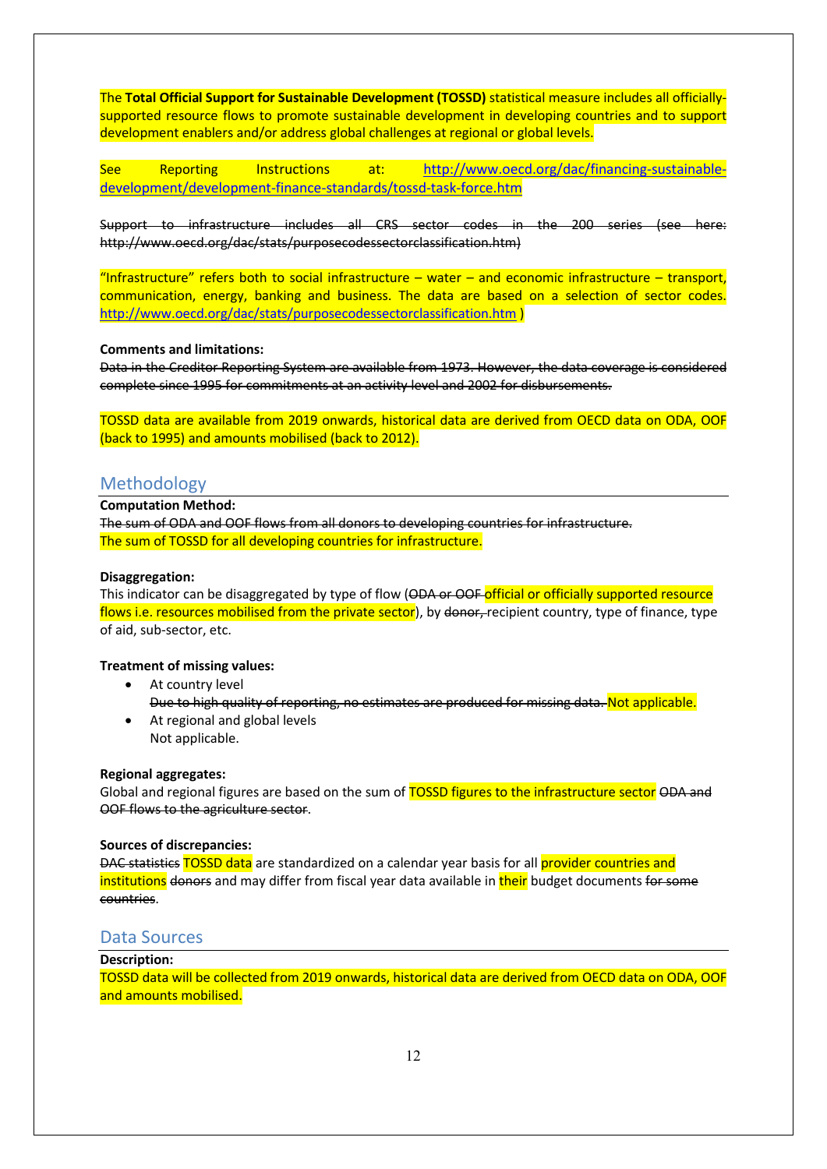The **Total Official Support for Sustainable Development (TOSSD)** statistical measure includes all officiallysupported resource flows to promote sustainable development in developing countries and to support development enablers and/or address global challenges at regional or global levels.

See Reporting Instructions at: [http://www.oecd.org/dac/financing-sustainable](http://www.oecd.org/dac/financing-sustainable-development/development-finance-standards/tossd-task-force.htm)[development/development-finance-standards/tossd-task-force.htm](http://www.oecd.org/dac/financing-sustainable-development/development-finance-standards/tossd-task-force.htm)

Support to infrastructure includes all CRS sector codes in the 200 series (see here: http://www.oecd.org/dac/stats/purposecodessectorclassification.htm)

"Infrastructure" refers both to social infrastructure – water – and economic infrastructure – transport, communication, energy, banking and business. The data are based on a selection of sector codes. <http://www.oecd.org/dac/stats/purposecodessectorclassification.htm> )

### **Comments and limitations:**

Data in the Creditor Reporting System are available from 1973. However, the data coverage is considered complete since 1995 for commitments at an activity level and 2002 for disbursements.

TOSSD data are available from 2019 onwards, historical data are derived from OECD data on ODA, OOF (back to 1995) and amounts mobilised (back to 2012).

## Methodology

**Computation Method:** 

The sum of ODA and OOF flows from all donors to developing countries for infrastructure. The sum of TOSSD for all developing countries for infrastructure.

### **Disaggregation:**

This indicator can be disaggregated by type of flow (ODA or OOF official or officially supported resource flows i.e. resources mobilised from the private sector), by donor, recipient country, type of finance, type of aid, sub-sector, etc.

### **Treatment of missing values:**

- At country level Due to high quality of reporting, no estimates are produced for missing data. Not applicable.
- At regional and global levels Not applicable.

### **Regional aggregates:**

Global and regional figures are based on the sum of TOSSD figures to the infrastructure sector ODA and OOF flows to the agriculture sector.

### **Sources of discrepancies:**

DAC statistics TOSSD data are standardized on a calendar year basis for all provider countries and institutions donors and may differ from fiscal year data available in their budget documents for some countries.

## Data Sources

### **Description:**

TOSSD data will be collected from 2019 onwards, historical data are derived from OECD data on ODA, OOF and amounts mobilised.